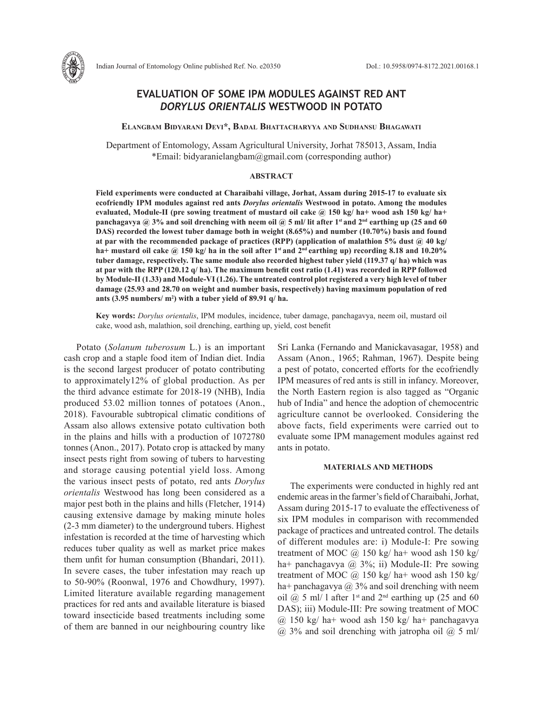

# **EVALUATION OF SOME IPM MODULES AGAINST RED ANT**  *DORYLUS ORIENTALIS* **WESTWOOD IN POTATO**

**Elangbam Bidyarani Devi\*, Badal Bhattacharyya and Sudhansu Bhagawati**

Department of Entomology, Assam Agricultural University, Jorhat 785013, Assam, India \*Email: bidyaranielangbam@gmail.com (corresponding author)

## **ABSTRACT**

**Field experiments were conducted at Charaibahi village, Jorhat, Assam during 2015-17 to evaluate six ecofriendly IPM modules against red ants** *Dorylus orientalis* **Westwood in potato. Among the modules evaluated, Module-II (pre sowing treatment of mustard oil cake @ 150 kg/ ha+ wood ash 150 kg/ ha+ panchagavya @ 3% and soil drenching with neem oil @ 5 ml/ lit after 1st and 2nd earthing up (25 and 60 DAS) recorded the lowest tuber damage both in weight (8.65%) and number (10.70%) basis and found at par with the recommended package of practices (RPP) (application of malathion 5% dust @ 40 kg/**  ha+ mustard oil cake @ 150 kg/ ha in the soil after 1<sup>st</sup> and  $2<sup>nd</sup>$  earthing up) recording 8.18 and 10.20% **tuber damage, respectively. The same module also recorded highest tuber yield (119.37 q/ ha) which was at par with the RPP (120.12 q/ ha). The maximum benefit cost ratio (1.41) was recorded in RPP followed by Module-II (1.33) and Module-VI (1.26). The untreated control plot registered a very high level of tuber damage (25.93 and 28.70 on weight and number basis, respectively) having maximum population of red ants (3.95 numbers/ m2 ) with a tuber yield of 89.91 q/ ha.**

**Key words:** *Dorylus orientalis*, IPM modules, incidence, tuber damage, panchagavya, neem oil, mustard oil cake, wood ash, malathion, soil drenching, earthing up, yield, cost benefit

Potato (*Solanum tuberosum* L.) is an important cash crop and a staple food item of Indian diet. India is the second largest producer of potato contributing to approximately12% of global production. As per the third advance estimate for 2018-19 (NHB), India produced 53.02 million tonnes of potatoes (Anon., 2018). Favourable subtropical climatic conditions of Assam also allows extensive potato cultivation both in the plains and hills with a production of 1072780 tonnes (Anon., 2017). Potato crop is attacked by many insect pests right from sowing of tubers to harvesting and storage causing potential yield loss. Among the various insect pests of potato, red ants *Dorylus orientalis* Westwood has long been considered as a major pest both in the plains and hills (Fletcher, 1914) causing extensive damage by making minute holes (2-3 mm diameter) to the underground tubers. Highest infestation is recorded at the time of harvesting which reduces tuber quality as well as market price makes them unfit for human consumption (Bhandari, 2011). In severe cases, the tuber infestation may reach up to 50-90% (Roonwal, 1976 and Chowdhury, 1997). Limited literature available regarding management practices for red ants and available literature is biased toward insecticide based treatments including some of them are banned in our neighbouring country like Sri Lanka (Fernando and Manickavasagar, 1958) and Assam (Anon., 1965; Rahman, 1967). Despite being a pest of potato, concerted efforts for the ecofriendly IPM measures of red ants is still in infancy. Moreover, the North Eastern region is also tagged as "Organic hub of India" and hence the adoption of chemocentric agriculture cannot be overlooked. Considering the above facts, field experiments were carried out to evaluate some IPM management modules against red ants in potato.

### **MATERIALS AND METHODS**

The experiments were conducted in highly red ant endemic areas in the farmer's field of Charaibahi, Jorhat, Assam during 2015-17 to evaluate the effectiveness of six IPM modules in comparison with recommended package of practices and untreated control. The details of different modules are: i) Module-I: Pre sowing treatment of MOC  $\omega$  150 kg/ ha+ wood ash 150 kg/ ha+ panchagavya @ 3%; ii) Module-II: Pre sowing treatment of MOC  $\omega$  150 kg/ ha+ wood ash 150 kg/ ha+ panchagavya  $\omega$  3% and soil drenching with neem oil  $\omega$  5 ml/ 1 after 1<sup>st</sup> and 2<sup>nd</sup> earthing up (25 and 60 DAS); iii) Module-III: Pre sowing treatment of MOC @ 150 kg/ ha+ wood ash 150 kg/ ha+ panchagavya  $(a)$  3% and soil drenching with jatropha oil  $(a)$  5 ml/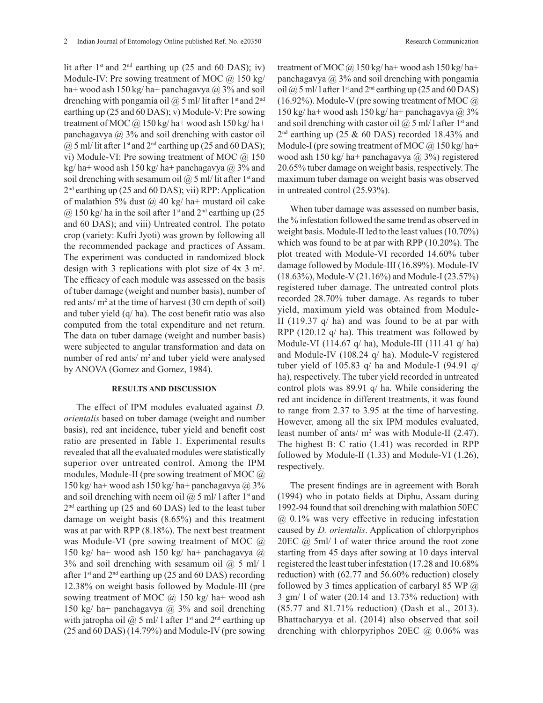lit after  $1<sup>st</sup>$  and  $2<sup>nd</sup>$  earthing up (25 and 60 DAS); iv) Module-IV: Pre sowing treatment of MOC  $\omega$  150 kg/ ha+ wood ash 150 kg/ ha+ panchagavya  $\omega$  3% and soil drenching with pongamia oil  $\omega$  5 ml/ lit after 1<sup>st</sup> and 2<sup>nd</sup> earthing up (25 and 60 DAS); v) Module-V: Pre sowing treatment of MOC  $\omega$  150 kg/ ha+ wood ash 150 kg/ ha+ panchagavya  $\omega$  3% and soil drenching with castor oil  $(a)$  5 ml/ lit after 1<sup>st</sup> and 2<sup>nd</sup> earthing up (25 and 60 DAS); vi) Module-VI: Pre sowing treatment of MOC @ 150 kg/ ha+ wood ash 150 kg/ ha+ panchagavya  $\omega$  3% and soil drenching with sesamum oil  $\omega$  5 ml/ lit after 1<sup>st</sup> and 2nd earthing up (25 and 60 DAS); vii) RPP: Application of malathion 5% dust  $\omega$  40 kg/ ha+ mustard oil cake  $\omega$  150 kg/ ha in the soil after 1<sup>st</sup> and 2<sup>nd</sup> earthing up (25) and 60 DAS); and viii) Untreated control. The potato crop (variety: Kufri Jyoti) was grown by following all the recommended package and practices of Assam. The experiment was conducted in randomized block design with 3 replications with plot size of 4x 3 m2 . The efficacy of each module was assessed on the basis of tuber damage (weight and number basis), number of red ants/ $m^2$  at the time of harvest (30 cm depth of soil) and tuber yield (q/ ha). The cost benefit ratio was also computed from the total expenditure and net return. The data on tuber damage (weight and number basis) were subjected to angular transformation and data on number of red ants/ m<sup>2</sup> and tuber yield were analysed by ANOVA (Gomez and Gomez, 1984).

#### **RESULTS AND DISCUSSION**

The effect of IPM modules evaluated against *D. orientalis* based on tuber damage (weight and number basis), red ant incidence, tuber yield and benefit cost ratio are presented in Table 1. Experimental results revealed that all the evaluated modules were statistically superior over untreated control. Among the IPM modules, Module-II (pre sowing treatment of MOC @ 150 kg/ ha+ wood ash 150 kg/ ha+ panchagavya  $\omega$  3% and soil drenching with neem oil  $\omega$  5 ml/ l after 1<sup>st</sup> and 2<sup>nd</sup> earthing up (25 and 60 DAS) led to the least tuber damage on weight basis (8.65%) and this treatment was at par with RPP (8.18%). The next best treatment was Module-VI (pre sowing treatment of MOC @ 150 kg/ ha+ wood ash 150 kg/ ha+ panchagavya  $\omega$  $3\%$  and soil drenching with sesamum oil  $\omega$  5 ml/ l after 1<sup>st</sup> and  $2<sup>nd</sup>$  earthing up (25 and 60 DAS) recording 12.38% on weight basis followed by Module-III (pre sowing treatment of MOC  $\omega$  150 kg/ ha+ wood ash 150 kg/ ha+ panchagavya  $\omega$  3% and soil drenching with jatropha oil  $\omega$  5 ml/ l after 1<sup>st</sup> and 2<sup>nd</sup> earthing up (25 and 60 DAS) (14.79%) and Module-IV (pre sowing treatment of MOC  $\omega$  150 kg/ ha+ wood ash 150 kg/ ha+ panchagavya  $\omega$  3% and soil drenching with pongamia oil  $\omega$  5 ml/ l after 1<sup>st</sup> and 2<sup>nd</sup> earthing up (25 and 60 DAS)  $(16.92\%)$ . Module-V (pre sowing treatment of MOC  $@$  $150 \text{ kg/ha} + \text{wood ash } 150 \text{ kg/ha} + \text{panchagavya}$  @ 3% and soil drenching with castor oil  $\omega$  5 ml/ l after 1<sup>st</sup> and  $2<sup>nd</sup>$  earthing up (25 & 60 DAS) recorded 18.43% and Module-I (pre sowing treatment of MOC  $(a)$  150 kg/ha+ wood ash 150 kg/ ha+ panchagavya @ 3%) registered 20.65% tuber damage on weight basis, respectively. The maximum tuber damage on weight basis was observed in untreated control (25.93%).

When tuber damage was assessed on number basis, the % infestation followed the same trend as observed in weight basis. Module-II led to the least values (10.70%) which was found to be at par with RPP (10.20%). The plot treated with Module-VI recorded 14.60% tuber damage followed by Module-III (16.89%). Module-IV (18.63%), Module-V (21.16%) and Module-I (23.57%) registered tuber damage. The untreated control plots recorded 28.70% tuber damage. As regards to tuber yield, maximum yield was obtained from Module-II (119.37 q/ ha) and was found to be at par with RPP (120.12 q/ ha). This treatment was followed by Module-VI (114.67 q/ ha), Module-III (111.41 q/ ha) and Module-IV (108.24 q/ ha). Module-V registered tuber yield of 105.83 q/ ha and Module-I (94.91 q/ ha), respectively. The tuber yield recorded in untreated control plots was 89.91 q/ ha. While considering the red ant incidence in different treatments, it was found to range from 2.37 to 3.95 at the time of harvesting. However, among all the six IPM modules evaluated, least number of ants/ $m^2$  was with Module-II (2.47). The highest B: C ratio (1.41) was recorded in RPP followed by Module-II (1.33) and Module-VI (1.26), respectively.

The present findings are in agreement with Borah (1994) who in potato fields at Diphu, Assam during 1992-94 found that soil drenching with malathion 50EC @ 0.1% was very effective in reducing infestation caused by *D. orientalis*. Application of chlorpyriphos 20EC @ 5ml/ 1 of water thrice around the root zone starting from 45 days after sowing at 10 days interval registered the least tuber infestation (17.28 and 10.68% reduction) with (62.77 and 56.60% reduction) closely followed by 3 times application of carbaryl 85 WP  $(a)$ 3 gm/ l of water (20.14 and 13.73% reduction) with (85.77 and 81.71% reduction) (Dash et al., 2013). Bhattacharyya et al. (2014) also observed that soil drenching with chlorpyriphos 20EC @ 0.06% was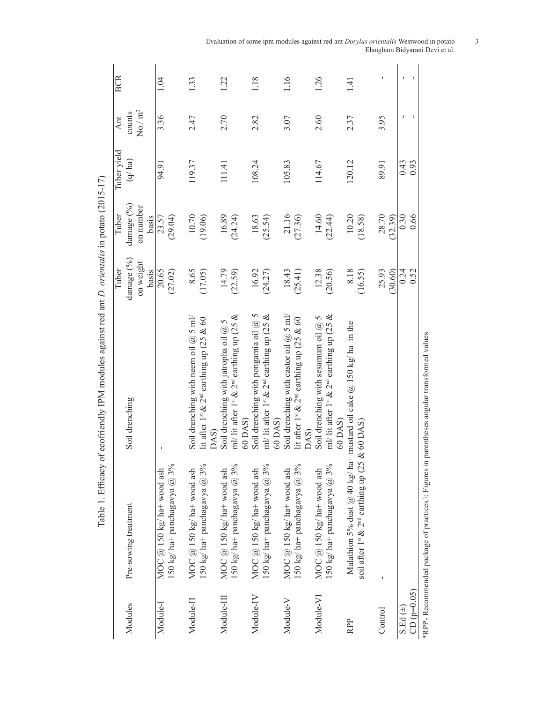|               |                                                                                             |                                                                     | Tuber      | Tuber      | Tuber vield | Ant                 | <b>BCR</b> |
|---------------|---------------------------------------------------------------------------------------------|---------------------------------------------------------------------|------------|------------|-------------|---------------------|------------|
| Modules       | Pre-sowing treatment                                                                        | Soil drenching                                                      | damage (%) | damage (%) | (q/ha)      | counts              |            |
|               |                                                                                             |                                                                     | on weight  | on number  |             | No./ m <sup>2</sup> |            |
|               |                                                                                             |                                                                     | basis      | basis      |             |                     |            |
| Module-I      | MOC $@$ 150 kg/ ha+ wood ash                                                                |                                                                     | 20.65      | 23.57      | 94.91       | 3.36                | 1.04       |
|               | 150 kg/ ha+ panchagavya $@$ 3%                                                              |                                                                     | (27.02)    | (29.04)    |             |                     |            |
| Module-II     | MOC $@$ 150 kg/ ha+ wood ash                                                                | Soil drenching with neem oil $(a)$ 5 ml/                            | 8.65       | 10.70      | 119.37      | 2.47                | 1.33       |
|               | 150 kg/ ha+ panchagavya $@$ 3%                                                              | lit after 1st & 2 <sup>nd</sup> earthing up (25 & 60                | (17.05)    | (19.06)    |             |                     |            |
|               |                                                                                             | DAS)                                                                |            |            |             |                     |            |
| Module-III    | MOC $@$ 150 kg/ ha+ wood ash                                                                | Soil drenching with jatropha oil $@$ 5                              | 14.79      | 16.89      | 111.41      | 2.70                | 1.22       |
|               | 150 kg/ ha+ panchagavya $@3\%$                                                              | ml/ lit after 1st & 2 <sup>nd</sup> earthing up (25 &               | (22.59)    | (24.24)    |             |                     |            |
|               |                                                                                             | 60 DAS)                                                             |            |            |             |                     |            |
| Module-IV     | MOC $@$ 150 kg/ ha+ wood ash                                                                | Soil drenching with pongamia oil $@$ 5                              | 16.92      | 18.63      | 108.24      | 2.82                | 1.18       |
|               | 150 kg/ ha+ panchagavya $@$ 3%                                                              | ml/ lit after 1 <sup>st</sup> & 2 <sup>nd</sup> earthing up (25 &   | (24.27)    | (25.54)    |             |                     |            |
|               |                                                                                             | 60 DAS)                                                             |            |            |             |                     |            |
| Module-V      | MOC $@$ 150 kg/ ha+ wood ash                                                                | Soil drenching with castor oil $@$ 5 ml/                            | 18.43      | 21.16      | 105.83      | 3.07                | 1.16       |
|               | 150 kg/ ha+ panchagavya $@$ 3%                                                              | lit after 1st & 2 <sup>nd</sup> earthing up (25 & 60                | (25.41)    | (27.36)    |             |                     |            |
|               |                                                                                             | DAS)                                                                |            |            |             |                     |            |
| Module-VI     | MOC $@$ 150 kg/ ha+ wood ash                                                                | Soil drenching with sesamum oil $@$ 5                               | 12.38      | 14.60      | 114.67      | 2.60                | 1.26       |
|               | 150 kg/ ha+ panchagavya $@$ 3%                                                              | ml/ lit after 1st & 2 <sup>nd</sup> earthing up (25 &               | (20.56)    | (22.44)    |             |                     |            |
|               |                                                                                             | 60 DAS)                                                             |            |            |             |                     |            |
| RPP           |                                                                                             | Malathion 5% dust @ 40 kg/ ha+ mustard oil cake @ 150 kg/ ha in the | 8.18       | 10.20      | 120.12      | 2.37                | 1.41       |
|               | soil after 1 <sup>st</sup> & 2 <sup>nd</sup> earthing up (25                                | & 60 DAS)                                                           | (16.55)    | (18.58)    |             |                     |            |
|               |                                                                                             |                                                                     |            |            |             |                     |            |
| Control       |                                                                                             |                                                                     | 25.93      | 28.70      | 89.91       | 3.95                |            |
|               |                                                                                             |                                                                     | (30.60)    | (32.39)    |             |                     |            |
| $S.Ed (\pm)$  |                                                                                             |                                                                     | 0.24       | 0.30       | 0.43        | J.                  |            |
| $CD (p=0.05)$ |                                                                                             |                                                                     | 0.52       | 0.66       | 0.93        |                     |            |
|               | *RPP- Recommended package of practices.\; Figures in parentheses angular transformed values |                                                                     |            |            |             |                     |            |

Table 1. Efficacy of ecofriendly IPM modules against red ant *D. orientalis* in potato (2015-17) Table 1. Efficacy of ecofriendly IPM modules against red ant *D. orientalis* in potato (2015-17) Evaluation of some ipm modules against red ant *Dorylus orientalis* Westwood in potato 3 Elangbam Bidyarani Devi et al.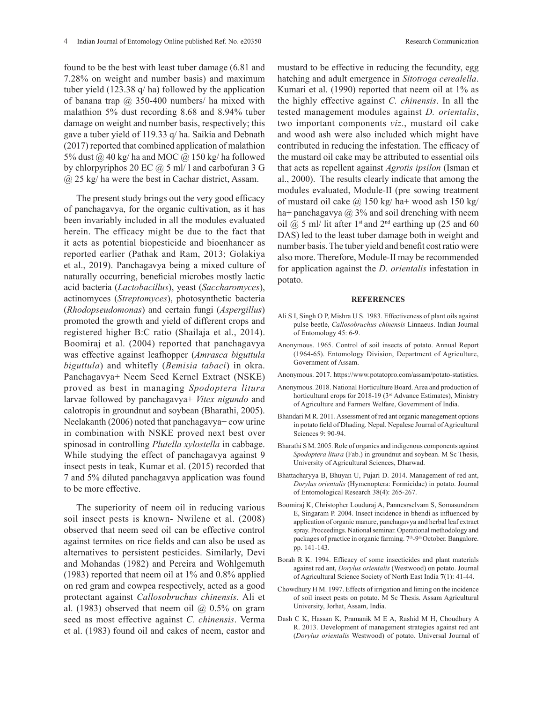found to be the best with least tuber damage (6.81 and 7.28% on weight and number basis) and maximum tuber yield (123.38 q/ ha) followed by the application of banana trap  $\omega$  350-400 numbers/ ha mixed with malathion 5% dust recording 8.68 and 8.94% tuber damage on weight and number basis, respectively; this gave a tuber yield of 119.33 q/ ha. Saikia and Debnath (2017) reported that combined application of malathion 5% dust  $\omega$  40 kg/ ha and MOC  $\omega$  150 kg/ ha followed by chlorpyriphos 20 EC  $\omega$  5 ml/ l and carbofuran 3 G @ 25 kg/ ha were the best in Cachar district, Assam.

The present study brings out the very good efficacy of panchagavya, for the organic cultivation, as it has been invariably included in all the modules evaluated herein. The efficacy might be due to the fact that it acts as potential biopesticide and bioenhancer as reported earlier (Pathak and Ram, 2013; Golakiya et al., 2019). Panchagavya being a mixed culture of naturally occurring, beneficial microbes mostly lactic acid bacteria (*Lactobacillus*), yeast (*Saccharomyces*), actinomyces (*Streptomyces*), photosynthetic bacteria (*Rhodopseudomonas*) and certain fungi (*Aspergillus*) promoted the growth and yield of different crops and registered higher B:C ratio (Shailaja et al., 2014). Boomiraj et al. (2004) reported that panchagavya was effective against leafhopper (*Amrasca biguttula biguttula*) and whitefly (*Bemisia tabaci*) in okra. Panchagavya+ Neem Seed Kernel Extract (NSKE) proved as best in managing *Spodoptera litura* larvae followed by panchagavya+ *Vitex nigundo* and calotropis in groundnut and soybean (Bharathi, 2005). Neelakanth (2006) noted that panchagavya+ cow urine in combination with NSKE proved next best over spinosad in controlling *Plutella xylostella* in cabbage. While studying the effect of panchagavya against 9 insect pests in teak, Kumar et al. (2015) recorded that 7 and 5% diluted panchagavya application was found to be more effective.

The superiority of neem oil in reducing various soil insect pests is known- Nwilene et al. (2008) observed that neem seed oil can be effective control against termites on rice fields and can also be used as alternatives to persistent pesticides. Similarly, Devi and Mohandas (1982) and Pereira and Wohlgemuth (1983) reported that neem oil at 1% and 0.8% applied on red gram and cowpea respectively, acted as a good protectant against *Callosobruchus chinensis.* Ali et al. (1983) observed that neem oil  $\omega$  0.5% on gram seed as most effective against *C. chinensis*. Verma et al. (1983) found oil and cakes of neem, castor and

mustard to be effective in reducing the fecundity, egg hatching and adult emergence in *Sitotroga cerealella*. Kumari et al. (1990) reported that neem oil at 1% as the highly effective against *C. chinensis*. In all the tested management modules against *D. orientalis*, two important components *viz*., mustard oil cake and wood ash were also included which might have contributed in reducing the infestation. The efficacy of the mustard oil cake may be attributed to essential oils that acts as repellent against *Agrotis ipsilon* (Isman et al., 2000). The results clearly indicate that among the modules evaluated, Module-II (pre sowing treatment of mustard oil cake  $\omega$  150 kg/ ha+ wood ash 150 kg/ ha+ panchagavya  $\omega$  3% and soil drenching with neem oil  $\omega$  5 ml/ lit after 1<sup>st</sup> and 2<sup>nd</sup> earthing up (25 and 60 DAS) led to the least tuber damage both in weight and number basis. The tuber yield and benefit cost ratio were also more. Therefore, Module-II may be recommended for application against the *D. orientalis* infestation in potato.

#### **REFERENCES**

- Ali S I, Singh O P, Mishra U S. 1983. Effectiveness of plant oils against pulse beetle, *Callosobruchus chinensis* Linnaeus. Indian Journal of Entomology 45: 6-9.
- Anonymous. 1965. Control of soil insects of potato. Annual Report (1964-65). Entomology Division, Department of Agriculture, Government of Assam.
- Anonymous. 2017. https://www.potatopro.com/assam/potato-statistics.
- Anonymous. 2018. National Horticulture Board. Area and production of horticultural crops for 2018-19 (3rd Advance Estimates), Ministry of Agriculture and Farmers Welfare, Government of India.
- Bhandari M R. 2011. Assessment of red ant organic management options in potato field of Dhading. Nepal. Nepalese Journal of Agricultural Sciences 9: 90-94.
- Bharathi S M. 2005. Role of organics and indigenous components against *Spodoptera litura* (Fab.) in groundnut and soybean. M Sc Thesis, University of Agricultural Sciences, Dharwad.
- Bhattacharyya B, Bhuyan U, Pujari D. 2014. Management of red ant, *Dorylus orientalis* (Hymenoptera: Formicidae) in potato. Journal of Entomological Research 38(4): 265-267.
- Boomiraj K, Christopher Louduraj A, Pannesrselvam S, Somasundram E, Singaram P. 2004. Insect incidence in bhendi as influenced by application of organic manure, panchagavya and herbal leaf extract spray. Proceedings. National seminar. Operational methodology and packages of practice in organic farming. 7<sup>th</sup>-9<sup>th</sup> October. Bangalore. pp. 141-143.
- Borah R K. 1994. Efficacy of some insecticides and plant materials against red ant, *Dorylus orientalis* (Westwood) on potato. Journal of Agricultural Science Society of North East India **7**(1): 41-44.
- Chowdhury H M. 1997. Effects of irrigation and liming on the incidence of soil insect pests on potato. M Sc Thesis. Assam Agricultural University, Jorhat, Assam, India.
- Dash C K, Hassan K, Pramanik M E A, Rashid M H, Choudhury A R. 2013. Development of management strategies against red ant (*Dorylus orientalis* Westwood) of potato. Universal Journal of